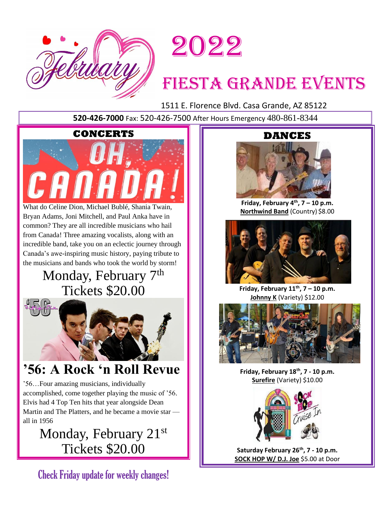



# FIESTA GRANDE EVENTS

1511 E. Florence Blvd. Casa Grande, AZ 85122

**520-426-7000** Fax: 520-426-7500 After Hours Emergency 480-861-8344

# **CONCERTS**



What do Celine Dion, Michael Bublé, Shania Twain, Bryan Adams, Joni Mitchell, and Paul Anka have in common? They are all incredible musicians who hail from Canada! Three amazing vocalists, along with an incredible band, take you on an eclectic journey through Canada's awe-inspiring music history, paying tribute to the musicians and bands who took the world by storm!

# Monday, February 7<sup>th</sup> Tickets \$20.00



# **'56: A Rock 'n Roll Revue**

'56…Four amazing musicians, individually accomplished, come together playing the music of '56. Elvis had 4 Top Ten hits that year alongside Dean Martin and The Platters, and he became a movie star all in 1956

> Monday, February 21st Tickets \$20.00

Check Friday update for weekly changes!

# **DANCES**



**Friday, February 4th , 7 – 10 p.m. Northwind Band** (Country) \$8.00



**Friday, February 11th , 7 – 10 p.m. Johnny K** (Variety) \$12.00



**Friday, February 18th , 7 - 10 p.m. Surefire** (Variety) \$10.00



**Saturday February 26th , 7 - 10 p.m. SOCK HOP W/ D.J. Joe** \$5.00 at Door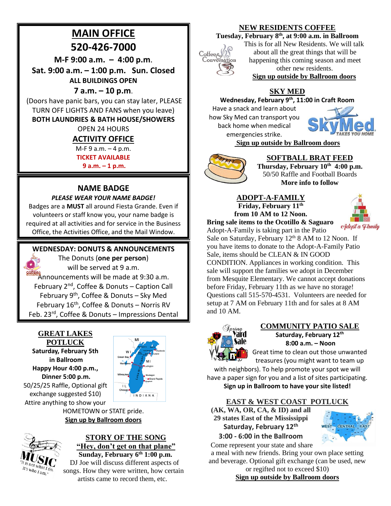# **MAIN OFFICE**

# **520-426-7000**

**M-F 9:00 a.m. – 4:00 p.m**.

**Sat. 9:00 a.m. – 1:00 p.m. Sun. Closed ALL BUILDINGS OPEN**

# **7 a.m. – 10 p.m**.

(Doors have panic bars, you can stay later, PLEASE TURN OFF LIGHTS AND FANS when you leave)

## **BOTH LAUNDRIES & BATH HOUSE/SHOWERS**

OPEN 24 HOURS

# **ACTIVITY OFFICE**

M-F 9 a.m. – 4 p.m.

**TICKET AVAILABLE** 

**9 a.m. – 1 p.m.**

# **NAME BADGE**

### *PLEASE WEAR YOUR NAME BADGE!*

Badges are a **MUST** all around Fiesta Grande. Even if volunteers or staff know you, your name badge is required at all activities and for service in the Business Office, the Activities Office, and the Mail Window.

# **WEDNESDAY: DONUTS & ANNOUNCEMENTS**



The Donuts (**one per person**) will be served at 9 a.m.

**Roffées**<br>Announcements will be made at 9:30 a.m. February 2<sup>nd</sup>, Coffee & Donuts - Caption Call February 9<sup>th</sup>, Coffee & Donuts - Sky Med February 16<sup>th</sup>, Coffee & Donuts - Norris RV Feb. 23<sup>rd</sup>, Coffee & Donuts - Impressions Dental

#### **GREAT LAKES POTLUCK**

**Saturday, February 5th in Ballroom Happy Hour 4:00 p.m., Dinner 5:00 p.m.** 50/25/25 Raffle, Optional gift exchange suggested \$10) Attire anything to show your



HOMETOWN or STATE pride. **Sign up by Ballroom doors**



# **STORY OF THE SONG "Hey, don't get on that plane"**

**Sunday, February 6th 1:00 p.m.** DJ Joe will discuss different aspects of songs. How they were written, how certain artists came to record them, etc.

# **NEW RESIDENTS COFFEE**

# **Tuesday, February 8th, at 9:00 a.m. in Ballroom**



This is for all New Residents. We will talk about all the great things that will be happening this coming season and meet other new residents.

**Sign up outside by Ballroom doors**

# **SKY MED**

## **Wednesday, February 9th, 11:00 in Craft Room**

Have a snack and learn about how Sky Med can transport you back home when medical emergencies strike.



**Sign up outside by Ballroom doors**



## **SOFTBALL BRAT FEED**

**Thursday, February 10th 4:00 p.m.** 50/50 Raffle and Football Boards **More info to follow**

#### **ADOPT-A-FAMILY Friday, February 11th from 10 AM to 12 Noon.**

**Bring sale items to the Ocotillo & Saguaro**



Adopt-A-Family is taking part in the Patio Sale on Saturday, February 12<sup>th</sup> 8 AM to 12 Noon. If you have items to donate to the Adopt-A-Family Patio Sale, items should be CLEAN & IN GOOD CONDITION. Appliances in working condition. This sale will support the families we adopt in December from Mesquite Elementary. We cannot accept donations before Friday, February 11th as we have no storage! Questions call 515-570-4531. Volunteers are needed for setup at 7 AM on February 11th and for sales at 8 AM and 10 AM.



#### **COMMUNITY PATIO SALE Saturday, February 12th 8:00 a.m. – Noon**

Great time to clean out those unwanted treasures (you might want to team up

with neighbors). To help promote your spot we will have a paper sign for you and a list of sites participating. **Sign up in Ballroom to have your site listed!**

# **EAST & WEST COAST POTLUCK**

**(AK, WA, OR, CA, & ID) and all 29 states East of the Mississippi Saturday, February 12th 3:00 - 6:00 in the Ballroom**



Come represent your state and share

a meal with new friends. Bring your own place setting and beverage. Optional gift exchange (can be used, new or regifted not to exceed \$10)

**Sign up outside by Ballroom doors**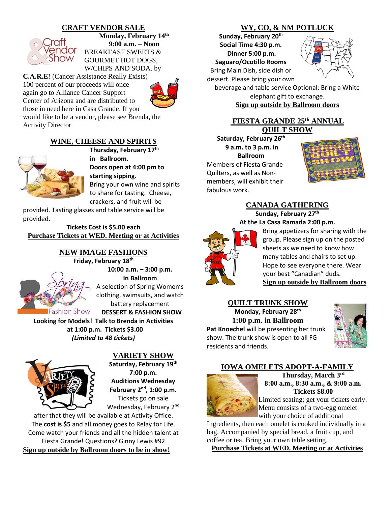# **CRAFT VENDOR SALE**



**Monday, February 14th 9:00 a.m. – Noon** BREAKFAST SWEETS & GOURMET HOT DOGS, W/CHIPS AND SODA. by

**C.A.R.E!** (Cancer Assistance Really Exists) 100 percent of our proceeds will once again go to Alliance Cancer Support Center of Arizona and are distributed to those in need here in Casa Grande. If you would like to be a vendor, please see Brenda, the Activity Director



#### **WINE, CHEESE AND SPIRITS**



**Thursday, February 17th in Ballroom**. **Doors open at 4:00 pm to starting sipping.**  Bring your own wine and spirits to share for tasting. Cheese, crackers, and fruit will be

provided. Tasting glasses and table service will be provided.

**Tickets Cost is \$5.00 each Purchase Tickets at WED. Meeting or at Activities**

#### **NEW IMAGE FASHIONS Friday, February 18th**



**10:00 a.m. – 3:00 p.m. In Ballroom** A selection of Spring Women's clothing, swimsuits, and watch battery replacement  **DESSERT & FASHION SHOW**

**Looking for Models! Talk to Brenda in Activities at 1:00 p.m. Tickets \$3.00** *(Limited to 48 tickets)*



**VARIETY SHOW**

**Saturday, February 19th 7:00 p.m. Auditions Wednesday February 2nd, 1:00 p.m.** Tickets go on sale Wednesday, February 2<sup>nd</sup>

after that they will be available at Activity Office. The **cost is \$5** and all money goes to Relay for Life. Come watch your friends and all the hidden talent at Fiesta Grande! Questions? Ginny Lewis #92 **Sign up outside by Ballroom doors to be in show!**

# **WY, CO, & NM POTLUCK**

**Sunday, February 20th Social Time 4:30 p.m. Dinner 5:00 p.m. Saguaro/Ocotillo Rooms** Bring Main Dish, side dish or

dessert. Please bring your own



beverage and table service Optional: Bring a White elephant gift to exchange. **Sign up outside by Ballroom doors**

# **FIESTA GRANDE 25th ANNUAL QUILT SHOW**

**Saturday, February 26th 9 a.m. to 3 p.m. in Ballroom** Members of Fiesta Grande Quilters, as well as Nonmembers, will exhibit their fabulous work.



#### **CANADA GATHERING Sunday, February 27th At the La Casa Ramada 2:00 p.m.**



Bring appetizers for sharing with the group. Please sign up on the posted sheets as we need to know how many tables and chairs to set up. Hope to see everyone there. Wear your best "Canadian" duds. **Sign up outside by Ballroom doors**

# **QUILT TRUNK SHOW**

**Monday, February 28th 1:00 p.m. in Ballroom Pat Knoechel** will be presenting her trunk show. The trunk show is open to all FG residents and friends.



#### **IOWA OMELETS ADOPT-A-FAMILY**



**Thursday, March 3 rd 8:00 a.m., 8:30 a.m., & 9:00 a.m. Tickets \$8.00**

Limited seating; get your tickets early. Menu consists of a two-egg omelet with your choice of additional

Ingredients, then each omelet is cooked individually in a bag. Accompanied by special bread, a fruit cup, and coffee or tea. Bring your own table setting.

**Purchase Tickets at WED. Meeting or at Activities**